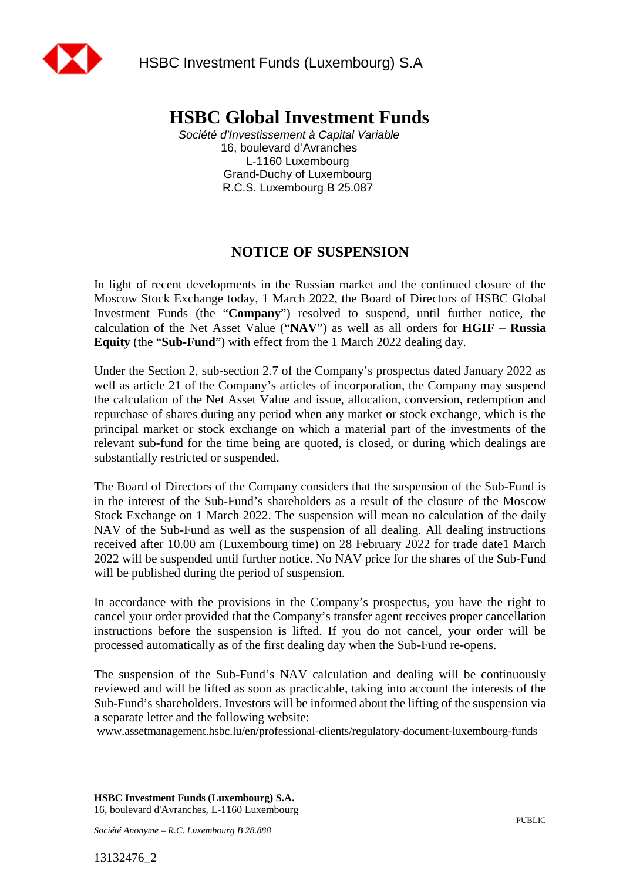

## **HSBC Global Investment Funds**

*Société d'Investissement à Capital Variable*  16, boulevard d'Avranches L-1160 Luxembourg Grand-Duchy of Luxembourg R.C.S. Luxembourg B 25.087

## **NOTICE OF SUSPENSION**

In light of recent developments in the Russian market and the continued closure of the Moscow Stock Exchange today, 1 March 2022, the Board of Directors of HSBC Global Investment Funds (the "**Company**") resolved to suspend, until further notice, the calculation of the Net Asset Value ("**NAV**") as well as all orders for **HGIF – Russia Equity** (the "**Sub-Fund**") with effect from the 1 March 2022 dealing day.

Under the Section 2, sub-section 2.7 of the Company's prospectus dated January 2022 as well as article 21 of the Company's articles of incorporation, the Company may suspend the calculation of the Net Asset Value and issue, allocation, conversion, redemption and repurchase of shares during any period when any market or stock exchange, which is the principal market or stock exchange on which a material part of the investments of the relevant sub-fund for the time being are quoted, is closed, or during which dealings are substantially restricted or suspended.

The Board of Directors of the Company considers that the suspension of the Sub-Fund is in the interest of the Sub-Fund's shareholders as a result of the closure of the Moscow Stock Exchange on 1 March 2022. The suspension will mean no calculation of the daily NAV of the Sub-Fund as well as the suspension of all dealing. All dealing instructions received after 10.00 am (Luxembourg time) on 28 February 2022 for trade date1 March 2022 will be suspended until further notice. No NAV price for the shares of the Sub-Fund will be published during the period of suspension.

In accordance with the provisions in the Company's prospectus, you have the right to cancel your order provided that the Company's transfer agent receives proper cancellation instructions before the suspension is lifted. If you do not cancel, your order will be processed automatically as of the first dealing day when the Sub-Fund re-opens.

The suspension of the Sub-Fund's NAV calculation and dealing will be continuously reviewed and will be lifted as soon as practicable, taking into account the interests of the Sub-Fund's shareholders. Investors will be informed about the lifting of the suspension via a separate letter and the following website:

www.assetmanagement.hsbc.lu/en/professional-clients/regulatory-document-luxembourg-funds

**HSBC Investment Funds (Luxembourg) S.A.**  16, boulevard d'Avranches, L-1160 Luxembourg

*Société Anonyme – R.C. Luxembourg B 28.888*